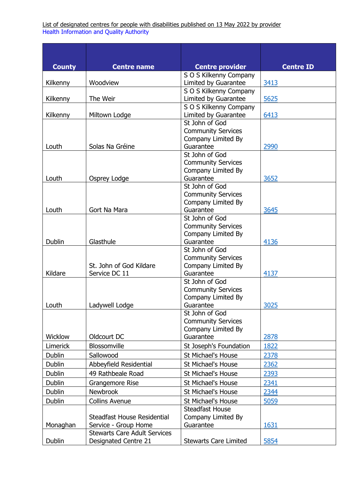List of designated centres for people with disabilities published on 13 May 2022 by provider Health Information and Quality Authority

| <b>County</b>  | <b>Centre name</b>                  | <b>Centre provider</b>          | <b>Centre ID</b> |
|----------------|-------------------------------------|---------------------------------|------------------|
|                |                                     | S O S Kilkenny Company          |                  |
| Kilkenny       | Woodview                            | Limited by Guarantee            | 3413             |
|                |                                     | S O S Kilkenny Company          |                  |
| Kilkenny       | The Weir                            | Limited by Guarantee            | 5625             |
|                |                                     | S O S Kilkenny Company          |                  |
| Kilkenny       | Miltown Lodge                       | Limited by Guarantee            | 6413             |
|                |                                     | St John of God                  |                  |
|                |                                     | <b>Community Services</b>       |                  |
| Louth          | Solas Na Gréine                     | Company Limited By<br>Guarantee | 2990             |
|                |                                     | St John of God                  |                  |
|                |                                     | <b>Community Services</b>       |                  |
|                |                                     | Company Limited By              |                  |
| Louth          | Osprey Lodge                        | Guarantee                       | 3652             |
|                |                                     | St John of God                  |                  |
|                |                                     | <b>Community Services</b>       |                  |
|                |                                     | Company Limited By              |                  |
| Louth          | Gort Na Mara                        | Guarantee                       | 3645             |
|                |                                     | St John of God                  |                  |
|                |                                     | <b>Community Services</b>       |                  |
|                |                                     | Company Limited By              |                  |
| <b>Dublin</b>  | Glasthule                           | Guarantee                       | 4136             |
|                |                                     | St John of God                  |                  |
|                |                                     | <b>Community Services</b>       |                  |
| Kildare        | St. John of God Kildare             | Company Limited By<br>Guarantee |                  |
|                | Service DC 11                       | St John of God                  | 4137             |
|                |                                     | <b>Community Services</b>       |                  |
|                |                                     | Company Limited By              |                  |
| Louth          | Ladywell Lodge                      | Guarantee                       | 3025             |
|                |                                     | St John of God                  |                  |
|                |                                     | <b>Community Services</b>       |                  |
|                |                                     | Company Limited By              |                  |
| <b>Wicklow</b> | Oldcourt DC                         | Guarantee                       | 2878             |
| Limerick       | Blossomville                        | St Joseph's Foundation          | 1822             |
| <b>Dublin</b>  | Sallowood                           | St Michael's House              | 2378             |
| <b>Dublin</b>  | Abbeyfield Residential              | St Michael's House              | 2362             |
| <b>Dublin</b>  | 49 Rathbeale Road                   | St Michael's House              | 2393             |
| <b>Dublin</b>  | Grangemore Rise                     | St Michael's House              | 2341             |
| <b>Dublin</b>  | <b>Newbrook</b>                     | St Michael's House              | 2344             |
| <b>Dublin</b>  | <b>Collins Avenue</b>               | St Michael's House              | 5059             |
|                |                                     | <b>Steadfast House</b>          |                  |
|                | Steadfast House Residential         | Company Limited By              |                  |
| Monaghan       | Service - Group Home                | Guarantee                       | 1631             |
|                | <b>Stewarts Care Adult Services</b> |                                 |                  |
| <b>Dublin</b>  | Designated Centre 21                | <b>Stewarts Care Limited</b>    | 5854             |